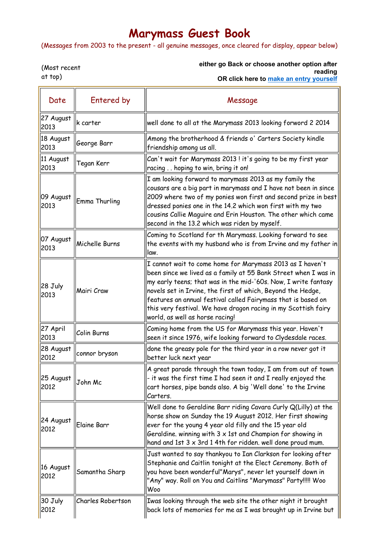## Marymass Guest Book

(Messages from 2003 to the present - all genuine messages, once cleared for display, appear below)

(Most recent at top)

either go Back or choose another option after reading

OR click here to make an entry yourself

| Date              | Entered by        | Message                                                                                                                                                                                                                                                                                                                                                                                                                             |
|-------------------|-------------------|-------------------------------------------------------------------------------------------------------------------------------------------------------------------------------------------------------------------------------------------------------------------------------------------------------------------------------------------------------------------------------------------------------------------------------------|
| 27 August<br>2013 | k carter          | well done to all at the Marymass 2013 looking forword 2 2014                                                                                                                                                                                                                                                                                                                                                                        |
| 18 August<br>2013 | George Barr       | Among the brotherhood & friends o' Carters Society kindle<br>friendship among us all.                                                                                                                                                                                                                                                                                                                                               |
| 11 August<br>2013 | Tegan Kerr        | Can't wait for Marymass 2013! it's going to be my first year<br>racing hoping to win, bring it on!                                                                                                                                                                                                                                                                                                                                  |
| 09 August<br>2013 | Emma Thurling     | I am looking forward to marymass 2013 as my family the<br>cousars are a big part in marymass and I have not been in since<br>2009 where two of my ponies won first and second prize in best<br>dressed ponies one in the 14.2 which won first with my two<br>cousins Callie Maguire and Erin Houston. The other which came<br>second in the 13.2 which was riden by myself.                                                         |
| 07 August<br>2013 | Michelle Burns    | Coming to Scotland for th Marymass. Looking forward to see<br>the events with my husband who is from Irvine and my father in<br>law.                                                                                                                                                                                                                                                                                                |
| 28 July<br>2013   | Mairi Craw        | I cannot wait to come home for Marymass 2013 as I haven't<br>been since we lived as a family at 55 Bank Street when I was in<br>my early teens; that was in the mid-'60s. Now, I write fantasy<br>novels set in Irvine, the first of which, Beyond the Hedge,<br>features an annual festival called Fairymass that is based on<br>this very festival. We have dragon racing in my Scottish fairy<br>world, as well as horse racing! |
| 27 April<br>2013  | Colin Burns       | Coming home from the US for Marymass this year. Haven't<br>seen it since 1976, wife looking forward to Clydesdale races.                                                                                                                                                                                                                                                                                                            |
| 28 August<br>2012 | connor bryson     | done the greasy pole for the third year in a row never got it<br>better luck next year                                                                                                                                                                                                                                                                                                                                              |
| 25 August<br>2012 | John Mc           | A great parade through the town today, I am from out of town<br>- it was the first time I had seen it and I really enjoyed the<br>cart horses, pipe bands also. A big 'Well done' to the Irvine<br>Carters.                                                                                                                                                                                                                         |
| 24 August<br>2012 | Elaine Barr       | Well done to Geraldine Barr riding Cavara Curly Q(Lilly) at the<br>horse show on Sunday the 19 August 2012. Her first showing<br>ever for the young 4 year old filly and the 15 year old<br>Geraldine. winning with $3 \times 1$ st and Champion for showing in<br>hand and 1st 3 x 3rd 1 4th for ridden. well done proud mum.                                                                                                      |
| 16 August<br>2012 | Samantha Sharp    | Just wanted to say thankyou to Ian Clarkson for looking after<br>Stephanie and Caitlin tonight at the Elect Ceremony. Both of<br>you have been wonderful"Marys", never let yourself down in<br>"Any" way. Roll on You and Caitlins "Marymass" Party!!!!! Woo<br>Woo                                                                                                                                                                 |
| 30 July<br>2012   | Charles Robertson | Iwas looking through the web site the other night it brought<br>back lots of memories for me as I was brought up in Irvine but                                                                                                                                                                                                                                                                                                      |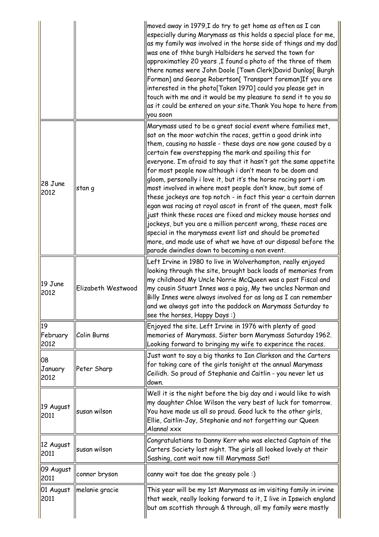|                        |                    | moved away in 1979,I do try to get home as often as I can<br>especially during Marymass as this holds a special place for me,<br>as my family was involved in the horse side of things and my dad $\parallel$<br>was one of thhe burgh Halbiders he served the town for<br>approximatley 20 years ,I found a photo of the three of them<br>there names were John Doole [Town Clerk]David Dunlop[ Burgh<br>Forman] and George Robertson[ Transport foreman]If you are<br>interested in the photo[Taken 1970] could you please get in<br>touch with me and it would be my pleasure to send it to you so<br>as it could be entered on your site. Thank You hope to here from<br>you soon                                                                                                                                                                                                                                                                                            |
|------------------------|--------------------|----------------------------------------------------------------------------------------------------------------------------------------------------------------------------------------------------------------------------------------------------------------------------------------------------------------------------------------------------------------------------------------------------------------------------------------------------------------------------------------------------------------------------------------------------------------------------------------------------------------------------------------------------------------------------------------------------------------------------------------------------------------------------------------------------------------------------------------------------------------------------------------------------------------------------------------------------------------------------------|
| 28 June<br>2012        | stan g             | Marymass used to be a great social event where families met,<br>sat on the moor watchin the races, gettin a good drink into<br>them, causing no hassle - these days are now gone caused by a<br>certain few overstepping the mark and spoiling this for<br>everyone. I'm afraid to say that it hasn't got the same appetite<br>for most people now although i don't mean to be doom and<br>gloom, personally i love it, but it's the horse racing part i am<br>most involved in where most people don't know, but some of<br>these jockeys are top notch - in fact this year a certain darren<br>egan was racing at royal ascot in front of the queen, most folk<br>just think these races are fixed and mickey mouse horses and<br>jockeys, but you are a million percent wrong, these races are<br>special in the marymass event list and should be promoted<br>more, and made use of what we have at our disposal before the<br>parade dwindles down to becoming a non event. |
| 19 June<br>2012        | Elizabeth Westwood | Left Irvine in 1980 to live in Wolverhampton, really enjoyed<br>looking through the site, brought back loads of memories from<br>my childhood My Uncle Norrie McQueen was a past Fiscal and<br>my cousin Stuart Innes was a paig, My two uncles Norman and<br>Billy Innes were always involved for as long as I can remember<br>and we always got into the paddock on Marymass Saturday to<br>see the horses, Happy Days :)                                                                                                                                                                                                                                                                                                                                                                                                                                                                                                                                                      |
| 19<br>February<br>2012 | Colin Burns        | Enjoyed the site. Left Irvine in 1976 with plenty of good<br>memories of Marymass. Sister born Marymass Saturday 1962.<br>Looking forward to bringing my wife to experince the races.                                                                                                                                                                                                                                                                                                                                                                                                                                                                                                                                                                                                                                                                                                                                                                                            |
| 08<br>January<br>2012  | Peter Sharp        | Just want to say a big thanks to Ian Clarkson and the Carters<br>for taking care of the girls tonight at the annual Marymass<br>Ceilidh. So proud of Stephanie and Caitlin - you never let us<br>down.                                                                                                                                                                                                                                                                                                                                                                                                                                                                                                                                                                                                                                                                                                                                                                           |
| 19 August<br>2011      | susan wilson       | Well it is the night before the big day and i would like to wish<br>my daughter Chloe Wilson the very best of luck for tomorrow.<br>You have made us all so proud. Good luck to the other girls,<br>Ellie, Caitlin-Jay, Stephanie and not forgetting our Queen<br>Alanna! xxx                                                                                                                                                                                                                                                                                                                                                                                                                                                                                                                                                                                                                                                                                                    |
| 12 August<br>2011      | susan wilson       | Congratulations to Danny Kerr who was elected Captain of the<br>Carters Society last night. The girls all looked lovely at their<br>Sashing, cant wait now till Marymass Sat!                                                                                                                                                                                                                                                                                                                                                                                                                                                                                                                                                                                                                                                                                                                                                                                                    |
| 09 August<br>2011      | connor bryson      | canny wait tae dae the greasy pole :)                                                                                                                                                                                                                                                                                                                                                                                                                                                                                                                                                                                                                                                                                                                                                                                                                                                                                                                                            |
| 01 August<br>2011      | melanie gracie     | This year will be my 1st Marymass as im visiting family in irvine<br>that week, really looking forward to it, I live in Ipswich england<br>but am scottish through & through, all my family were mostly                                                                                                                                                                                                                                                                                                                                                                                                                                                                                                                                                                                                                                                                                                                                                                          |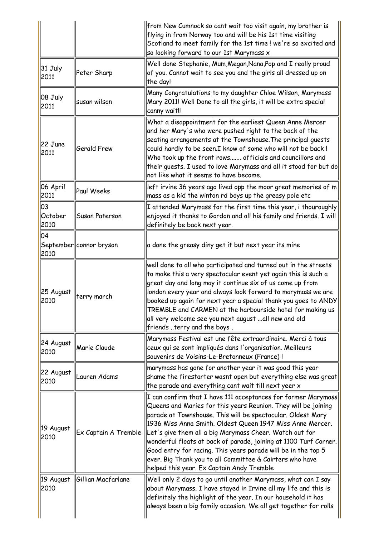|                       |                          | from New Cumnock so cant wait too visit again, my brother is<br>flying in from Norway too and will be his 1st time visiting<br>Scotland to meet family for the 1st time ! we're so excited and<br>so looking forward to our 1st Marymass x                                                                                                                                                                                                                                                                                                                           |
|-----------------------|--------------------------|----------------------------------------------------------------------------------------------------------------------------------------------------------------------------------------------------------------------------------------------------------------------------------------------------------------------------------------------------------------------------------------------------------------------------------------------------------------------------------------------------------------------------------------------------------------------|
| $31$ July<br>2011     | Peter Sharp              | Well done Stephanie, Mum, Megan, Nana, Pop and I really proud<br>of you. Cannot wait to see you and the girls all dressed up on<br>the day!                                                                                                                                                                                                                                                                                                                                                                                                                          |
| 08 July<br>2011       | İsusan wilson            | Many Congratulations to my daughter Chloe Wilson, Marymass<br>Mary 2011! Well Done to all the girls, it will be extra special<br>canny wait!!                                                                                                                                                                                                                                                                                                                                                                                                                        |
| 22 June<br>2011       | Gerald Frew              | What a disappointment for the earliest Queen Anne Mercer<br>and her Mary's who were pushed right to the back of the<br>seating arrangements at the Townshouse. The principal guests<br>could hardly to be seen.I know of some who will not be back !<br>Who took up the front rows officials and councillors and<br>their guests. I used to love Marymass and all it stood for but do<br>not like what it seems to have become.                                                                                                                                      |
| 06 April<br>2011      | Paul Weeks               | left irvine 36 years ago lived opp the moor great memories of m<br>mass as a kid the winton rd boys up the greasy pole etc                                                                                                                                                                                                                                                                                                                                                                                                                                           |
| 03<br>October<br>2010 | Susan Paterson           | I attended Marymass for the first time this year, i thouroughly<br>enjoyed it thanks to Gordon and all his family and friends. I will<br>definitely be back next year.                                                                                                                                                                                                                                                                                                                                                                                               |
| 04<br>2010            | September  connor bryson | a done the greasy diny get it but next year its mine                                                                                                                                                                                                                                                                                                                                                                                                                                                                                                                 |
| 25 August<br>2010     | terry march              | well done to all who participated and turned out in the streets<br>to make this a very spectacular event yet again this is such a<br>great day and long may it continue six of us come up from<br>london every year and always look forward to marymass we are<br>booked up again for next year a special thank you goes to ANDY<br>TREMBLE and CARMEN at the harbourside hotel for making us<br>all very welcome see you next august …all new and old<br>friends terry and the boys.                                                                                |
| 24 August<br>2010     | Marie Claude             | Marymass Festival est une fête extraordinaire. Merci à tous<br>ceux qui se sont impliqués dans l'organisation. Meilleurs<br>souvenirs de Voisins-Le-Bretonneux (France)!                                                                                                                                                                                                                                                                                                                                                                                             |
| 22 August<br>2010     | Lauren Adams             | marymass has gone for another year it was good this year<br>shame the firestarter wasnt open but everything else was great<br>the parade and everything cant wait till next yeer x                                                                                                                                                                                                                                                                                                                                                                                   |
| 19 August<br>2010     | Ex Captain A Tremble     | I can confirm that I have 111 acceptances for former Marymass<br>Queens and Maries for this years Reunion. They will be joining<br>parade at Townshouse. This will be spectacular. Oldest Mary<br>1936 Miss Anna Smith. Oldest Queen 1947 Miss Anne Mercer.<br>Let's give them all a big Marymass Cheer. Watch out for<br>wonderful floats at back of parade, joining at 1100 Turf Corner.<br>Good entry for racing. This years parade will be in the top 5<br>ever. Big Thank you to all Committee & Cairters who have<br>helped this year. Ex Captain Andy Tremble |
| 19 August<br>2010     | Gillian Macfarlane       | Well only 2 days to go until another Marymass, what can I say<br>about Marymass. I have stayed in Irvine all my life and this is<br>definitely the highlight of the year. In our household it has<br>always been a big family occasion. We all get together for rolls                                                                                                                                                                                                                                                                                                |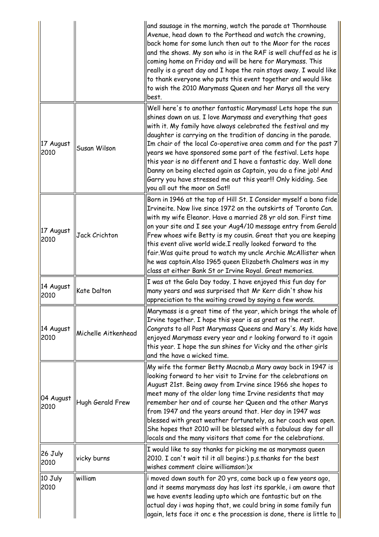|                             |                     | and sausage in the morning, watch the parade at Thornhouse<br>Avenue, head down to the Porthead and watch the crowning,<br>back home for some lunch then out to the Moor for the races<br>and the shows. My son who is in the RAF is well chuffed as he is<br>coming home on Friday and will be here for Marymass. This<br>really is a great day and I hope the rain stays away. I would like<br>to thank everyone who puts this event together and would like<br>to wish the 2010 Marymass Queen and her Marys all the very<br>best.                                                                                                      |
|-----------------------------|---------------------|--------------------------------------------------------------------------------------------------------------------------------------------------------------------------------------------------------------------------------------------------------------------------------------------------------------------------------------------------------------------------------------------------------------------------------------------------------------------------------------------------------------------------------------------------------------------------------------------------------------------------------------------|
| 17 August<br>2010           | Susan Wilson        | Well here's to another fantastic Marymass! Lets hope the sun<br>shines down on us. I love Marymass and everything that goes<br>with it. My family have always celebrated the festival and my<br>daughter is carrying on the tradition of dancing in the parade.<br>Im chair of the local Co-operative area comm and for the past 7<br>years we have sponsored some part of the festival. Lets hope<br>this year is no different and I have a fantastic day. Well done<br>Danny on being elected again as Captain, you do a fine job! And<br>Garry you have stressed me out this year!!! Only kidding. See<br>you all out the moor on Sat!! |
| 17 August<br>2010           | Jack Crichton       | Born in 1946 at the top of Hill St. I Consider myself a bona fide<br>Irvineite. Now live since 1972 on the outskirts of Toronto Can.<br>with my wife Eleanor. Have a married 28 yr old son. First time<br>on your site and I see your Aug4/10 message entry from Gerald<br>Frew whoes wife Betty is my cousin. Great that you are keeping<br>this event alive world wide.I really looked forward to the<br>fair. Was quite proud to watch my uncle Archie McAllister when<br>he was captain.Also 1965 queen Elizabeth Chalmers was in my<br>class at either Bank St or Irvine Royal. Great memories.                                       |
| 14 August<br>2010           | <b>Kate Dalton</b>  | I was at the Gala Day today. I have enjoyed this fun day for<br>many years and was surprised that Mr Kerr didn't show his<br>appreciation to the waiting crowd by saying a few words.                                                                                                                                                                                                                                                                                                                                                                                                                                                      |
| 14 August<br>2010           | Michelle Aitkenhead | Marymass is a great time of the year, which brings the whole of<br>Irvine together. I hope this year is as great as the rest.<br>Congrats to all Past Marymass Queens and Mary's. My kids have<br>enjoyed Marymass every year and r looking forward to it again<br>this year. I hope the sun shines for Vicky and the other girls<br>and the have a wicked time.                                                                                                                                                                                                                                                                           |
| 04 August<br>2010           | Hugh Gerald Frew    | My wife the former Betty Macnab, a Mary away back in 1947 is<br>looking forward to her visit to Irvine for the celebrations on<br>August 21st. Being away from Irvine since 1966 she hopes to<br>meet many of the older long time Irvine residents that may<br>remember her and of course her Queen and the other Marys<br>from 1947 and the years around that. Her day in 1947 was<br>blessed with great weather fortunately, as her coach was open.<br>She hopes that 2010 will be blessed with a fabulous day for all<br>locals and the many visitors that come for the celebrations.                                                   |
| 26 July<br>2010             | vicky burns         | I would like to say thanks for picking me as marymass queen<br>2010. I can't wait til it all begins:) p.s. thanks for the best<br>wishes comment claire williamson:)x                                                                                                                                                                                                                                                                                                                                                                                                                                                                      |
| $ 10 \text{ July} $<br>2010 | william             | i moved down south for 20 yrs, came back up a few years ago,<br>and it seems marymass day has lost its sparkle, i am aware that<br>we have events leading upto which are fantastic but on the<br>actual day i was hoping that, we could bring in some family fun<br>again, lets face it onc e the procession is done, there is little to                                                                                                                                                                                                                                                                                                   |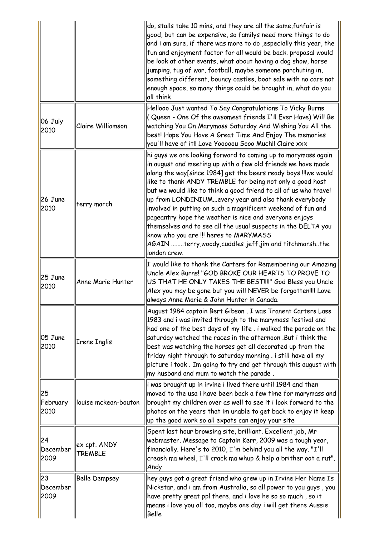|                        |                                | do, stalls take 10 mins, and they are all the same, funfair is<br>good, but can be expensive, so familys need more things to do<br>and i am sure, if there was more to do , especially this year, the<br>fun and enjoyment factor for all would be back. proposal would<br>be look at other events, what about having a dog show, horse<br>jumping, tug of war, football, maybe someone parchuting in,<br>something different, bouncy castles, boot sale with no cars not<br>enough space, so many things could be brought in, what do you<br>all think                                                                                                                                                  |
|------------------------|--------------------------------|----------------------------------------------------------------------------------------------------------------------------------------------------------------------------------------------------------------------------------------------------------------------------------------------------------------------------------------------------------------------------------------------------------------------------------------------------------------------------------------------------------------------------------------------------------------------------------------------------------------------------------------------------------------------------------------------------------|
| 06 July<br>2010        | <b>Claire Williamson</b>       | Hellooo Just wanted To Say Congratulations To Vicky Burns<br>(Queen - One Of the awsomest friends I'll Ever Have) Will Be<br>watching You On Marymass Saturday And Wishing You All the<br>best! Hope You Have A Great Time And Enjoy The memories<br>you'll have of it!! Love Yooooou Sooo Much!! Claire xxx                                                                                                                                                                                                                                                                                                                                                                                             |
| 26 June<br>2010        | terry march                    | hi guys we are looking forward to coming up to marymass again<br>in august and meeting up with a few old friends we have made<br>along the way[since 1984] get the beers ready boys !!!we would<br>like to thank ANDY TREMBLE for being not only a good host<br>but we would like to think a good friend to all of us who travel<br>up from LONDINIUMevery year and also thank everybody<br>involved in putting on such a magnificent weekend of fun and<br>pageantry hope the weather is nice and everyone enjoys<br>themselves and to see all the usual suspects in the DELTA you<br>know who you are !!! heres to MARYMASS<br>AGAIN terry, woody, cuddles jeff, jim and titchmarshthe<br>london crew. |
| 25 June<br>2010        | Anne Marie Hunter              | I would like to thank the Carters for Remembering our Amazing<br>Uncle Alex Burns! "GOD BROKE OUR HEARTS TO PROVE TO<br>US THAT HE ONLY TAKES THE BEST!!!!" God Bless you Uncle<br>Alex you may be gone but you will NEVER be forgotten!!!! Love<br>always Anne Marie & John Hunter in Canada.                                                                                                                                                                                                                                                                                                                                                                                                           |
| 05 June<br>2010        | <b>Irene Inglis</b>            | August 1984 captain Bert Gibson . I was Tranent Carters Lass<br>1983 and i was invited through to the marymass festival and<br>had one of the best days of my life . i walked the parade on the<br>saturday watched the races in the afternoon .But i think the<br>best was watching the horses get all decorated up from the<br>friday night through to saturday morning . i still have all my<br>picture i took. Im going to try and get through this august with<br>my husband and mum to watch the parade.                                                                                                                                                                                           |
| 25<br>February<br>2010 | louise mckean-bouton           | i was brought up in irvine i lived there until 1984 and then<br>moved to the usa i have been back a few time for marymass and<br>brought my children over as well to see it i look forward to the<br>photos on the years that im unable to get back to enjoy it keep<br>up the good work so all expats can enjoy your site                                                                                                                                                                                                                                                                                                                                                                               |
| 24<br>December<br>2009 | ex cpt. ANDY<br><b>TREMBLE</b> | Spent last hour browsing site, brilliant. Excellent job, Mr<br>webmaster. Message to Captain Kerr, 2009 was a tough year,<br>financially. Here's to 2010, I'm behind you all the way. "I'll<br>creash ma wheel, I'll crack ma whup & help a brither oot a rut".<br>Andy                                                                                                                                                                                                                                                                                                                                                                                                                                  |
| 23<br>December<br>2009 | <b>Belle Dempsey</b>           | hey guys got a great friend who grew up in Irvine Her Name Is<br>Nickstar, and i am from Australia, so all power to you guys, you<br>have pretty great ppl there, and i love he so so much, so it<br>means i love you all too, maybe one day i will get there Aussie<br>Belle                                                                                                                                                                                                                                                                                                                                                                                                                            |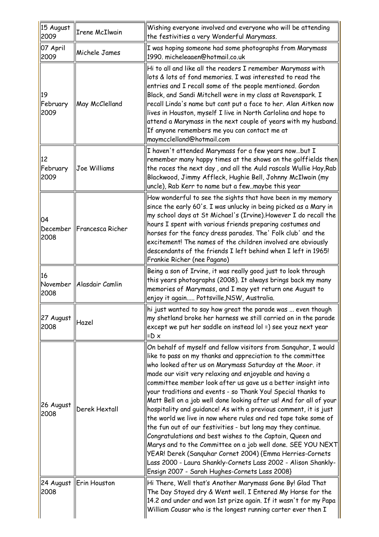| 15 August<br>2009      | Irene McIlwain              | Wishing everyone involved and everyone who will be attending<br>the festivities a very Wonderful Marymass.                                                                                                                                                                                                                                                                                                                                                                                                                                                                                                                                                                                                                                                                                                                                                                                                                                                                 |
|------------------------|-----------------------------|----------------------------------------------------------------------------------------------------------------------------------------------------------------------------------------------------------------------------------------------------------------------------------------------------------------------------------------------------------------------------------------------------------------------------------------------------------------------------------------------------------------------------------------------------------------------------------------------------------------------------------------------------------------------------------------------------------------------------------------------------------------------------------------------------------------------------------------------------------------------------------------------------------------------------------------------------------------------------|
| 07 April<br>2009       | Michele James               | I was hoping someone had some photographs from Marymass<br>1990. micheleaaen@hotmail.co.uk                                                                                                                                                                                                                                                                                                                                                                                                                                                                                                                                                                                                                                                                                                                                                                                                                                                                                 |
| 19<br>February<br>2009 | <b>May McClelland</b>       | Hi to all and like all the readers I remember Marymass with<br>lots & lots of fond memories. I was interested to read the<br>entries and I recall some of the people mentioned. Gordon<br>Black, and Sandi Mitchell were in my class at Ravenspark. I<br>recall Linda's name but cant put a face to her. Alan Aitken now<br>lives in Houston, myself I live in North Carlolina and hope to<br>attend a Marymass in the next couple of years with my husband.<br>If anyone remembers me you can contact me at<br>maymcclelland@hotmail.com                                                                                                                                                                                                                                                                                                                                                                                                                                  |
| 12<br>February<br>2009 | Joe Williams                | I haven't attended Marymass for a few years nowbut I<br>remember many happy times at the shows on the golffields then<br>the races the next day , and all the Auld rascals Wullie Hay, Rab<br>Blackwood, Jimmy Affleck, Hughie Bell, Johnny McIlwain (my<br>uncle), Rab Kerr to name but a fewmaybe this year                                                                                                                                                                                                                                                                                                                                                                                                                                                                                                                                                                                                                                                              |
| 04<br>2008             | December   Francesca Richer | How wonderful to see the sights that have been in my memory<br>since the early 60's. I was unlucky in being picked as a Mary in<br>my school days at St Michael's (Irvine).However I do recall the<br>hours I spent with various friends preparing costumes and<br>horses for the fancy dress parades. The' Folk club' and the<br>excitement! The names of the children involved are obviously<br>descendants of the friends I left behind when I left in 1965!<br>Frankie Richer (nee Pagano)                                                                                                                                                                                                                                                                                                                                                                                                                                                                             |
| 16<br>2008             | November   Alasdair Camlin  | Being a son of Irvine, it was really good just to look through<br>this years photographs (2008). It always brings back my many<br>memories of Marymass, and I may yet return one August to<br>enjoy it again Pottsville,NSW, Australia.                                                                                                                                                                                                                                                                                                                                                                                                                                                                                                                                                                                                                                                                                                                                    |
| 27 August<br>2008      | Hazel                       | hi just wanted to say how great the parade was  even though<br>my shetland broke her harness we still carried on in the parade<br>except we put her saddle on instead lol =) see youz next year<br>$=$ D $\times$                                                                                                                                                                                                                                                                                                                                                                                                                                                                                                                                                                                                                                                                                                                                                          |
| 26 August<br>2008      | Derek Hextall               | On behalf of myself and fellow visitors from Sanguhar, I would<br>like to pass on my thanks and appreciation to the committee<br>who looked after us on Marymass Saturday at the Moor. it<br>made our visit very relaxing and enjoyable and having a<br>committee member look after us gave us a better insight into<br>your traditions and events - so Thank You! Special thanks to<br>Matt Bell on a job well done looking after us! And for all of your<br>hospitality and guidance! As with a previous comment, it is just<br>the world we live in now where rules and red tape take some of<br>the fun out of our festivities - but long may they continue.<br>Congratulations and best wishes to the Captain, Queen and<br>Marys and to the Committee on a job well done. SEE YOU NEXT<br>YEAR! Derek (Sanguhar Cornet 2004) {Emma Herries-Cornets<br>Lass 2000 - Laura Shankly-Cornets Lass 2002 - Alison Shankly-<br>Ensign 2007 - Sarah Hughes-Cornets Lass 2008} |
| 2008                   | 24 August  Erin Houston     | Hi There, Well that's Another Marymass Gone By! Glad That<br>The Day Stayed dry & Went well. I Entered My Horse for the<br>14.2 and under and won 1st prize again. If it wasn't for my Papa<br>William Cousar who is the longest running carter ever then I                                                                                                                                                                                                                                                                                                                                                                                                                                                                                                                                                                                                                                                                                                                |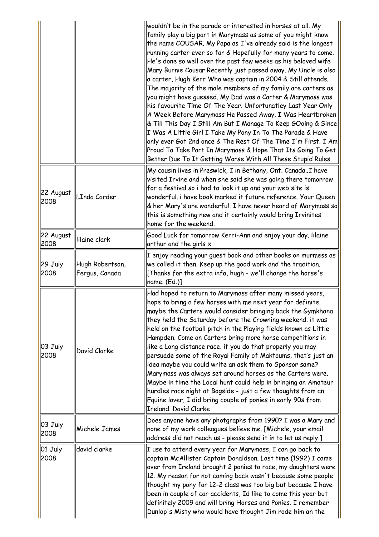|                             |                                   | wouldn't be in the parade or interested in horses at all. My<br>family play a big part in Marymass as some of you might know<br>the name COUSAR. My Papa as I've already said is the longest<br>running carter ever so far & Hopefully for many years to come.<br>He's done so well over the past few weeks as his beloved wife<br>Mary Burnie Cousar Recently just passed away. My Uncle is also<br>a carter, Hugh Kerr Who was captain in 2004 & Still attends.<br>The majority of the male members of my family are carters as<br>you might have guessed. My Dad was a Carter & Marymass was<br>his favourite Time Of The Year. Unfortunatley Last Year Only<br>A Week Before Marymass He Passed Away. I Was Heartbroken<br>& Till This Day I Still Am But I Manage To Keep GOoing & Since<br>I Was A Little Girl I Take My Pony In To The Parade & Have<br>only ever Got 2nd once & The Rest Of The Time I'm First. I Am<br>Proud To Take Part In Marymass & Hope That Its Going To Get<br>Better Due To It Getting Worse With All These Stupid Rules. |
|-----------------------------|-----------------------------------|------------------------------------------------------------------------------------------------------------------------------------------------------------------------------------------------------------------------------------------------------------------------------------------------------------------------------------------------------------------------------------------------------------------------------------------------------------------------------------------------------------------------------------------------------------------------------------------------------------------------------------------------------------------------------------------------------------------------------------------------------------------------------------------------------------------------------------------------------------------------------------------------------------------------------------------------------------------------------------------------------------------------------------------------------------|
| 22 August<br>2008           | LInda Carder                      | My cousin lives in Preswick, I in Bethany, Ont. CanadaI have<br>visited Irvine and when she said she was going there tomorrow<br>for a festival so i had to look it up and your web site is<br>wonderfuli have book marked it future reference. Your Queen<br>& her Mary's are wonderful. I have never heard of Marymass so<br>this is something new and it certainly would bring Irvinites<br>home for the weekend.                                                                                                                                                                                                                                                                                                                                                                                                                                                                                                                                                                                                                                       |
| 22 August<br>2008           | lilaine clark                     | Good Luck for tomorrow Kerri-Ann and enjoy your day. Iilaine<br>arthur and the girls $x$                                                                                                                                                                                                                                                                                                                                                                                                                                                                                                                                                                                                                                                                                                                                                                                                                                                                                                                                                                   |
| 29 July<br>2008             | Hugh Robertson,<br>Fergus, Canada | I enjoy reading your guest book and other books on murmess as<br>we called it then. Keep up the good work and the tradition.<br>[Thanks for the extra info, hugh - we'll change the horse's<br>$name. (Ed.)$ ]                                                                                                                                                                                                                                                                                                                                                                                                                                                                                                                                                                                                                                                                                                                                                                                                                                             |
| 03 July<br>2008             | David Clarke                      | Had hoped to return to Marymass after many missed years,<br>hope to bring a few horses with me next year for definite.<br>maybe the Carters would consider bringing back the Gymkhana<br>they held the Saturday before the Crowning weekend. it was<br>held on the football pitch in the Playing fields known as Little<br>Hampden. Come on Carters bring more horse competitions in<br>like a Long distance race. if you do that properly you may<br>persuade some of the Royal Family of Maktoums, that's just an<br>idea maybe you could write an ask them to Sponsor same?<br>Marymass was always set around horses as the Carters were.<br>Maybe in time the Local hunt could help in bringing an Amateur<br>hurdles race night at Bogside - just a few thoughts from an<br>Equine lover, I did bring couple of ponies in early 90s from<br><b>Ireland, David Clarke</b>                                                                                                                                                                              |
| $ 03 \text{ July} $<br>2008 | Michele James                     | Does anyone have any photgraphs from 1990? I was a Mary and<br>none of my work colleagues believe me. [Michele, your email<br>address did not reach us - please send it in to let us reply.]                                                                                                                                                                                                                                                                                                                                                                                                                                                                                                                                                                                                                                                                                                                                                                                                                                                               |
| $ 01 \text{ July} $<br>2008 | david clarke                      | I use to attend every year for Marymass, I can go back to<br>captain McAllister Captain Donaldson. Last time (1992) I came<br>over from Ireland brought 2 ponies to race, my daughters were<br>12. My reason for not coming back wasn't because some people<br>thought my pony for 12-2 class was too big but because I have<br>been in couple of car accidents, Id like to come this year but<br>definitely 2009 and will bring Horses and Ponies. I remember<br>Dunlop's Misty who would have thought Jim rode him an the                                                                                                                                                                                                                                                                                                                                                                                                                                                                                                                                |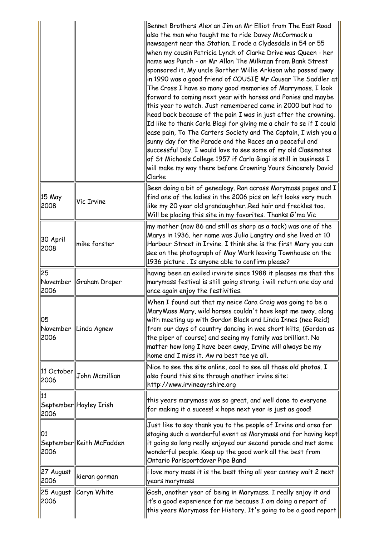|                                |                          | Bennet Brothers Alex an Jim an Mr Elliot from The East Road<br>also the man who taught me to ride Davey McCormack a<br>newsagent near the Station. I rode a Clydesdale in 54 or 55<br>when my cousin Patricia Lynch of Clarke Drive was Queen - her<br>name was Punch - an Mr Allan The Milkman from Bank Street<br>sponsored it. My uncle Borther Willie Arkison who passed away<br>in 1990 was a good friend of COUSIE Mr Cousar The Saddler at<br>The Cross I have so many good memories of Marrymass. I look<br>forward to coming next year with horses and Ponies and maybe<br>this year to watch. Just remembered came in 2000 but had to<br>head back because of the pain I was in just after the crowning.<br>Id like to thank Carla Biagi for giving me a chair to se if I could<br>ease pain, To The Carters Society and The Captain, I wish you a<br>sunny day for the Parade and the Races an a peaceful and<br>successful Day. I would love to see some of my old Classmates<br>of St Michaels College 1957 if Carla Biagi is still in business I<br>will make my way there before Crowning Yours Sincerely David<br>Clarke |
|--------------------------------|--------------------------|------------------------------------------------------------------------------------------------------------------------------------------------------------------------------------------------------------------------------------------------------------------------------------------------------------------------------------------------------------------------------------------------------------------------------------------------------------------------------------------------------------------------------------------------------------------------------------------------------------------------------------------------------------------------------------------------------------------------------------------------------------------------------------------------------------------------------------------------------------------------------------------------------------------------------------------------------------------------------------------------------------------------------------------------------------------------------------------------------------------------------------------|
| 15 May<br>2008                 | <b>Vic Irvine</b>        | Been doing a bit of genealogy. Ran across Marymass pages and I<br>find one of the ladies in the 2006 pics on left looks very much<br>like my 20 year old grandaughterRed hair and freckles too.<br>Will be placing this site in my favorites. Thanks G'ma Vic                                                                                                                                                                                                                                                                                                                                                                                                                                                                                                                                                                                                                                                                                                                                                                                                                                                                            |
| 30 April<br>2008               | mike forster             | my mother (now 86 and still as sharp as a tack) was one of the<br>Marys in 1936. her name was Julia Langtry and she lived at 10<br>Harbour Street in Irvine. I think she is the first Mary you can<br>see on the photograph of May Wark leaving Townhouse on the<br>1936 picture. Is anyone able to confirm please?                                                                                                                                                                                                                                                                                                                                                                                                                                                                                                                                                                                                                                                                                                                                                                                                                      |
| 25<br>November<br>2006         | Graham Draper            | having been an exiled irvinite since 1988 it pleases me that the<br>marymass festival is still going strong. i will return one day and<br>once again enjoy the festivities.                                                                                                                                                                                                                                                                                                                                                                                                                                                                                                                                                                                                                                                                                                                                                                                                                                                                                                                                                              |
| 05<br>2006                     | November  Linda Agnew    | When I found out that my neice Cara Craig was going to be a<br>MaryMass Mary, wild horses couldn't have kept me away, along<br>with meeting up with Gordon Black and Linda Innes (nee Reid)<br>from our days of country dancing in wee short kilts, (Gordon as<br>the piper of course) and seeing my family was brilliant. No<br>matter how long I have been away, Irvine will always be my<br>home and I miss it. Aw ra best tae ye all.                                                                                                                                                                                                                                                                                                                                                                                                                                                                                                                                                                                                                                                                                                |
| $ 11 \text{ October} $<br>2006 | John Mcmillian           | Nice to see the site online, cool to see all those old photos. I<br>also found this site through another irvine site:<br>http://www.irvineayrshire.org                                                                                                                                                                                                                                                                                                                                                                                                                                                                                                                                                                                                                                                                                                                                                                                                                                                                                                                                                                                   |
| 11<br>2006                     | September  Hayley Irish  | this years marymass was so great, and well done to everyone<br>for making it a sucess! x hope next year is just as good!                                                                                                                                                                                                                                                                                                                                                                                                                                                                                                                                                                                                                                                                                                                                                                                                                                                                                                                                                                                                                 |
| 01<br>2006                     | September Keith McFadden | Just like to say thank you to the people of Irvine and area for<br>staging such a wonderful event as Marymass and for having kept<br>it going so long really enjoyed our second parade and met some<br>wonderful people. Keep up the good work all the best from<br>Ontario Parisportdover Pipe Band                                                                                                                                                                                                                                                                                                                                                                                                                                                                                                                                                                                                                                                                                                                                                                                                                                     |
| 27 August<br>2006              | kieran gorman            | i love mary mass it is the best thing all year canney wait 2 next<br>years marymass                                                                                                                                                                                                                                                                                                                                                                                                                                                                                                                                                                                                                                                                                                                                                                                                                                                                                                                                                                                                                                                      |
| 25 August<br>2006              | Caryn White              | Gosh, another year of being in Marymass. I really enjoy it and<br>it's a good experience for me because I am doing a report of<br>this years Marymass for History. It's going to be a good report                                                                                                                                                                                                                                                                                                                                                                                                                                                                                                                                                                                                                                                                                                                                                                                                                                                                                                                                        |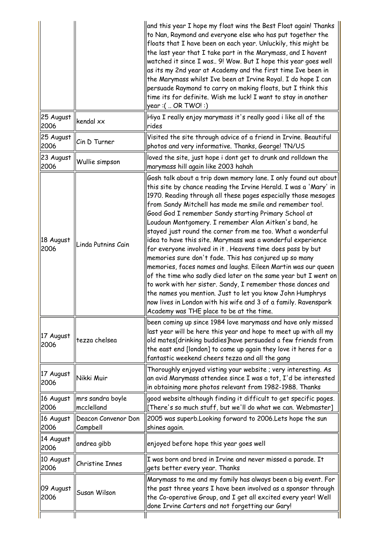|                   |                                            | and this year I hope my float wins the Best Float again! Thanks<br>to Nan, Raymond and everyone else who has put together the<br>floats that I have been on each year. Unluckily, this might be<br>the last year that I take part in the Marymass, and I havent<br>watched it since I was 9! Wow. But I hope this year goes well<br>as its my 2nd year at Academy and the first time Ive been in<br>the Marymass whilst Ive been at Irvine Royal. I do hope I can<br>persuade Raymond to carry on making floats, but I think this<br>time its for definite. Wish me luck! I want to stay in another<br>year :(  OR TWO! :)                                                                                                                                                                                                                                                                                                                                                                                             |
|-------------------|--------------------------------------------|------------------------------------------------------------------------------------------------------------------------------------------------------------------------------------------------------------------------------------------------------------------------------------------------------------------------------------------------------------------------------------------------------------------------------------------------------------------------------------------------------------------------------------------------------------------------------------------------------------------------------------------------------------------------------------------------------------------------------------------------------------------------------------------------------------------------------------------------------------------------------------------------------------------------------------------------------------------------------------------------------------------------|
| 25 August<br>2006 | kendal xx                                  | Hiya I really enjoy marymass it's really good i like all of the<br>rides                                                                                                                                                                                                                                                                                                                                                                                                                                                                                                                                                                                                                                                                                                                                                                                                                                                                                                                                               |
| 25 August<br>2006 | Cin D Turner                               | Visited the site through advice of a friend in Irvine. Beautiful<br>photos and very informative. Thanks, George! TN/US                                                                                                                                                                                                                                                                                                                                                                                                                                                                                                                                                                                                                                                                                                                                                                                                                                                                                                 |
| 23 August<br>2006 | Wullie simpson                             | loved the site, just hope i dont get to drunk and rolldown the<br>marymass hill again like 2003 hahah                                                                                                                                                                                                                                                                                                                                                                                                                                                                                                                                                                                                                                                                                                                                                                                                                                                                                                                  |
| 18 August<br>2006 | Linda Putnins Cain                         | Gosh talk about a trip down memory lane. I only found out about<br>this site by chance reading the Irvine Herald. I was a 'Mary' in<br>1970. Reading through all these pages especially those mesages<br>from Sandy Mitchell has made me smile and remember too!.<br>Good God I remember Sandy starting Primary School at<br>Loudoun Montgomery. I remember Alan Aitken's band, he<br>stayed just round the corner from me too. What a wonderful<br>idea to have this site. Marymass was a wonderful experience<br>for everyone involved in it. Heavens time does pass by but<br>memories sure don't fade. This has conjured up so many<br>memories, faces names and laughs. Eileen Martin was our queen<br>of the time who sadly died later on the same year but I went on<br>to work with her sister. Sandy, I remember those dances and<br>the names you mention. Just to let you know John Humphrys<br>now lives in London with his wife and 3 of a family. Ravenspark<br>Academy was THE place to be at the time. |
| 17 August<br>2006 | tezza chelsea                              | been coming up since 1984 love marymass and have only missed<br>last year will be here this year and hope to meet up with all my<br>old mates[drinking buddies]have persuaded a few friends from<br>the east end [london] to come up again they love it heres for a<br>fantastic weekend cheers tezza and all the gang                                                                                                                                                                                                                                                                                                                                                                                                                                                                                                                                                                                                                                                                                                 |
| 17 August<br>2006 | Nikki Muir                                 | Thoroughly enjoyed visting your website ; very interesting. As<br>an avid Marymass attendee since I was a tot, I'd be interested<br>in obtaining more photos relevant from 1982-1988. Thanks                                                                                                                                                                                                                                                                                                                                                                                                                                                                                                                                                                                                                                                                                                                                                                                                                           |
| 16 August<br>2006 | $\parallel$ mrs sandra boyle<br>mcclelland | good website although finding it difficult to get specific pages.<br>[There's so much stuff, but we'll do what we can. Webmaster]                                                                                                                                                                                                                                                                                                                                                                                                                                                                                                                                                                                                                                                                                                                                                                                                                                                                                      |
| 16 August<br>2006 | Deacon Convenor Don<br><b>Campbell</b>     | 2005 was superb.Looking forward to 2006.Lets hope the sun<br>shines again.                                                                                                                                                                                                                                                                                                                                                                                                                                                                                                                                                                                                                                                                                                                                                                                                                                                                                                                                             |
| 14 August<br>2006 | andrea gibb                                | enjoyed before hope this year goes well                                                                                                                                                                                                                                                                                                                                                                                                                                                                                                                                                                                                                                                                                                                                                                                                                                                                                                                                                                                |
| 10 August<br>2006 | Christine Innes                            | I was born and bred in Irvine and never missed a parade. It<br>gets better every year. Thanks                                                                                                                                                                                                                                                                                                                                                                                                                                                                                                                                                                                                                                                                                                                                                                                                                                                                                                                          |
| 09 August<br>2006 | Susan Wilson                               | Marymass to me and my family has always been a big event. For<br>the past three years I have been involved as a sponsor through<br>the Co-operative Group, and I get all excited every year! Well<br>done Irvine Carters and not forgetting our Gary!                                                                                                                                                                                                                                                                                                                                                                                                                                                                                                                                                                                                                                                                                                                                                                  |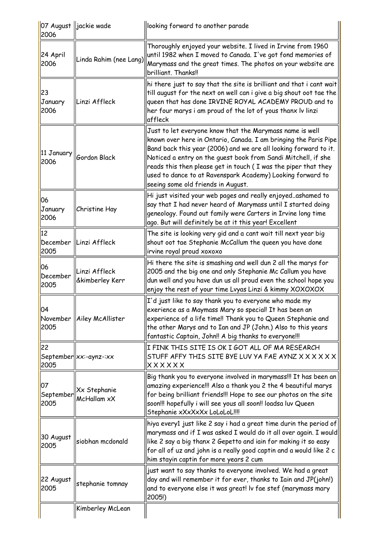| 2006                    | 07 August   jackie wade          | looking forward to another parade                                                                                                                                                                                                                                                                                                                                                                                                       |
|-------------------------|----------------------------------|-----------------------------------------------------------------------------------------------------------------------------------------------------------------------------------------------------------------------------------------------------------------------------------------------------------------------------------------------------------------------------------------------------------------------------------------|
| 24 April<br>2006        | Linda Rahim (nee Lang)           | Thoroughly enjoyed your website. I lived in Irvine from 1960<br>until 1982 when I moved to Canada. I've got fond memories of<br>Marymass and the great times. The photos on your website are<br>brilliant. Thanks!!                                                                                                                                                                                                                     |
| 23<br>January<br>2006   | Linzi Affleck                    | hi there just to say that the site is brilliant and that i cant wait<br>till august for the next on well can i give a big shout oot tae the<br>queen that has done IRVINE ROYAL ACADEMY PROUD and to<br>her four marys i am proud of the lot of yous thanx lv linzi<br>affleck                                                                                                                                                          |
| 11 January  <br>2006    | Gordon Black                     | Just to let everyone know that the Marymass name is well<br>known over here in Ontario, Canada. I am bringing the Paris Pipe<br>Band back this year (2006) and we are all looking forward to it.<br>Noticed a entry on the guest book from Sandi Mitchell, if she<br>reads this then please get in touch (I was the piper that they<br>used to dance to at Ravenspark Academy) Looking forward to<br>seeing some old friends in August. |
| 06<br>January<br>2006   | Christine Hay                    | Hi just visited your web pages and really enjoyedashamed to<br>say that I had never heard of Marymass until I started doing<br>geneology. Found out family were Carters in Irvine long time<br>ago. But will definitely be at it this year! Excellent                                                                                                                                                                                   |
| 12<br>December<br>2005  | Linzi Affleck                    | The site is looking very gid and a cant wait till next year big<br>shout oot tae Stephanie McCallum the queen you have done<br>irvine royal proud xoxoxo                                                                                                                                                                                                                                                                                |
| 06<br>December<br>2005  | Linzi Affleck<br>&kimberley Kerr | Hi there the site is smashing and well dun 2 all the marys for<br>2005 and the big one and only Stephanie Mc Callum you have<br>dun well and you have dun us all proud even the school hope you<br>enjoy the rest of your time Lvyas Linzi & kimmy XOXOXOX                                                                                                                                                                              |
| 04<br>2005              | November   Ailey McAllister      | I'd just like to say thank you to everyone who made my<br>exerience as a Maymass Mary so special! It has been an<br>experience of a life time!! Thank you to Queen Stephanie and<br>the other Marys and to Ian and JP (John.) Also to this years<br>fantastic Captain, John!! A big thanks to everyone!!!                                                                                                                               |
| 22<br>2005              | $September  xx:-aynz::xx$        | I FINK THIS SITE IS OK I GOT ALL OF MA RESEARCH<br>STUFF AFFY THIS SITE BYE LUV YA FAE AYNZ X X X X X X<br>xxxxxx                                                                                                                                                                                                                                                                                                                       |
| 07<br>September<br>2005 | Xx Stephanie<br>McHallam xX      | Big thank you to everyone involved in marymass!!! It has been an<br>amazing experience!!! Also a thank you 2 the 4 beautiful marys<br>for being brilliant friends!!! Hope to see our photos on the site<br>soon!!! hopefully i will see yous all soon!! loadsa luv Queen<br>Stephanie xXxXxXx LoLoLoL!!!!                                                                                                                               |
| 30 August<br>2005       | siobhan mcdonald                 | hiya every1 just like 2 say i had a great time durin the period of<br>marymass and if I was asked I would do it all over again. I would<br>like 2 say a big thanx 2 Gepetto and iain for making it so easy<br>for all of uz and john is a really good captin and a would like 2 c<br>him stayin captin for more years 2 cum                                                                                                             |
| 22 August<br>2005       | stephanie tomnay                 | just want to say thanks to everyone involved. We had a great<br>day and will remember it for ever, thanks to Iain and JP(john!)<br>and to everyone else it was great! Iv fae stef (marymass mary<br>2005!)                                                                                                                                                                                                                              |
|                         | Kimberley McLean                 |                                                                                                                                                                                                                                                                                                                                                                                                                                         |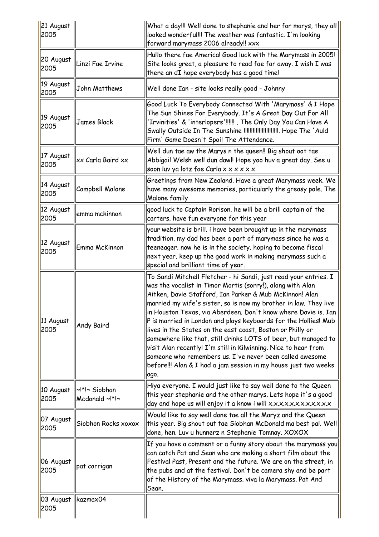| 21 August<br>2005 |                                 | What a day!!! Well done to stephanie and her for marys, they all<br>looked wonderful!!! The weather was fantastic. I'm looking<br>forward marymass 2006 already!! xxx                                                                                                                                                                                                                                                                                                                                                                                                                                                                                                                                                                        |
|-------------------|---------------------------------|----------------------------------------------------------------------------------------------------------------------------------------------------------------------------------------------------------------------------------------------------------------------------------------------------------------------------------------------------------------------------------------------------------------------------------------------------------------------------------------------------------------------------------------------------------------------------------------------------------------------------------------------------------------------------------------------------------------------------------------------|
| 20 August<br>2005 | Linzi Fae Irvine                | Hullo there fae America! Good luck with the Marymass in 2005!<br>Site looks great, a pleasure to read fae far away. I wish I was<br>there an dI hope everybody has a good time!                                                                                                                                                                                                                                                                                                                                                                                                                                                                                                                                                              |
| 19 August<br>2005 | John Matthews                   | Well done Ian - site looks really good - Johnny                                                                                                                                                                                                                                                                                                                                                                                                                                                                                                                                                                                                                                                                                              |
| 19 August<br>2005 | James Black                     | Good Luck To Everybody Connected With 'Marymass' & I Hope<br>The Sun Shines For Everybody. It's A Great Day Out For All<br>'Irvinities' & 'interlopers'!!!!!! , The Only Day You Can Have A<br>Swally Outside In The Sunshine !!!!!!!!!!!!!!!!!!!!!!!!! Hope The 'Auld<br>Firm' Game Doesn't Spoil The Attendance.                                                                                                                                                                                                                                                                                                                                                                                                                           |
| 17 August<br>2005 | xx Carla Baird xx               | Well dun tae aw the Marys n the queen!! Big shout oot tae<br>Abbigail Welsh well dun dawl! Hope yoo huv a great day. See u<br>soon luv ya lotz fae Carla x x x x x x                                                                                                                                                                                                                                                                                                                                                                                                                                                                                                                                                                         |
| 14 August<br>2005 | Campbell Malone                 | Greetings from New Zealand. Have a great Marymass week. We<br>have many awesome memories, particularly the greasy pole. The<br>Malone family                                                                                                                                                                                                                                                                                                                                                                                                                                                                                                                                                                                                 |
| 12 August<br>2005 | emma mckinnon                   | good luck to Captain Rorison. he will be a brill captain of the<br>carters. have fun everyone for this year                                                                                                                                                                                                                                                                                                                                                                                                                                                                                                                                                                                                                                  |
| 12 August<br>2005 | Emma McKinnon                   | your website is brill. i have been brought up in the marymass<br>tradition. my dad has been a part of marymass since he was a<br>teeneager. now he is in the society. hoping to become fiscal<br>next year. keep up the good work in making marymass such a<br>special and brilliant time of year.                                                                                                                                                                                                                                                                                                                                                                                                                                           |
| 11 August<br>2005 | Andy Baird                      | To Sandi Mitchell Fletcher - hi Sandi, just read your entries. I<br>was the vocalist in Timor Mortis (sorry!), along with Alan<br>Aitken, Davie Stafford, Ian Parker & Mub McKinnon! Alan<br>married my wife's sister, so is now my brother in law. They live<br>in Houston Texas, via Aberdeen. Don't know where Davie is. Ian<br>P is married in London and plays keyboards for the Hollies! Mub<br>lives in the States on the east coast, Boston or Philly or<br>somewhere like that, still drinks LOTS of beer, but managed to<br>visit Alan recently! I'm still in Kilwinning. Nice to hear from<br>someone who remembers us. I've never been called awesome<br>before!!! Alan & I had a jam session in my house just two weeks<br>ago. |
| 10 August<br>2005 | ~!*!~ Siobhan<br>Mcdonald ~!*!~ | Hiya everyone. I would just like to say well done to the Queen<br>this year stephanie and the other marys. Lets hope it's a good<br>day and hope us will enjoy it a know i will x.x.x.x.x.x.x.x.x.x.x.x.x                                                                                                                                                                                                                                                                                                                                                                                                                                                                                                                                    |
| 07 August<br>2005 | Siobhon Rocks xoxox             | Would like to say well done tae all the Maryz and the Queen<br>this year. Big shout out tae Siobhan McDonald ma best pal. Well<br>done, hen. Luv u hunnerz n Stephanie Tomnay. XOXOX                                                                                                                                                                                                                                                                                                                                                                                                                                                                                                                                                         |
| 06 August<br>2005 | pat carrigan                    | If you have a comment or a funny story about the marymass you<br>can catch Pat and Sean who are making a short film about the<br>Festival Past, Present and the future. We are on the street, in<br>the pubs and at the festival. Don't be camera shy and be part<br>of the History of the Marymass. viva la Marymass. Pat And<br>Sean.                                                                                                                                                                                                                                                                                                                                                                                                      |
| 03 August<br>2005 | kazmax04                        |                                                                                                                                                                                                                                                                                                                                                                                                                                                                                                                                                                                                                                                                                                                                              |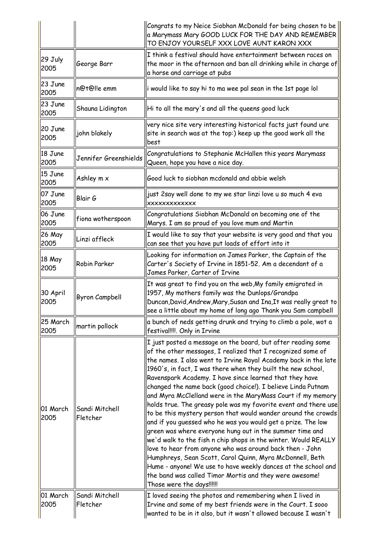|                  |                            | Congrats to my Neice Siobhan McDonald for being chosen to be<br>a Marymass Mary GOOD LUCK FOR THE DAY AND REMEMBER<br>TO ENJOY YOURSELF XXX LOVE AUNT KARON XXX                                                                                                                                                                                                                                                                                                                                                                                                                                                                                                                                                                                                                                                                                                                                                                                                                                                                                                             |
|------------------|----------------------------|-----------------------------------------------------------------------------------------------------------------------------------------------------------------------------------------------------------------------------------------------------------------------------------------------------------------------------------------------------------------------------------------------------------------------------------------------------------------------------------------------------------------------------------------------------------------------------------------------------------------------------------------------------------------------------------------------------------------------------------------------------------------------------------------------------------------------------------------------------------------------------------------------------------------------------------------------------------------------------------------------------------------------------------------------------------------------------|
| 29 July<br>2005  | George Barr                | I think a festival should have entertainment between races on<br>the moor in the afternoon and ban all drinking while in charge of<br>a horse and carriage at pubs                                                                                                                                                                                                                                                                                                                                                                                                                                                                                                                                                                                                                                                                                                                                                                                                                                                                                                          |
| 23 June<br>2005  | n@t@l!e emm                | i would like to say hi to ma wee pal sean in the 1st page lol                                                                                                                                                                                                                                                                                                                                                                                                                                                                                                                                                                                                                                                                                                                                                                                                                                                                                                                                                                                                               |
| 23 June<br>2005  | Shauna Lidington           | Hi to all the mary's and all the queens good luck                                                                                                                                                                                                                                                                                                                                                                                                                                                                                                                                                                                                                                                                                                                                                                                                                                                                                                                                                                                                                           |
| 20 June<br>2005  | john blakely               | very nice site very interesting historical facts just found ure<br>site in search was at the top:) keep up the good work all the<br><b>best</b>                                                                                                                                                                                                                                                                                                                                                                                                                                                                                                                                                                                                                                                                                                                                                                                                                                                                                                                             |
| 18 June<br>2005  | Jennifer Greenshields      | Congratulations to Stephanie McHallen this years Marymass<br>Queen, hope you have a nice day.                                                                                                                                                                                                                                                                                                                                                                                                                                                                                                                                                                                                                                                                                                                                                                                                                                                                                                                                                                               |
| 15 June<br>2005  | Ashley m x                 | Good luck to siobhan mcdonald and abbie welsh                                                                                                                                                                                                                                                                                                                                                                                                                                                                                                                                                                                                                                                                                                                                                                                                                                                                                                                                                                                                                               |
| 07 June<br>2005  | Blair G                    | just 2say well done to my we star linzi love u so much 4 eva<br><b>XXXXXXXXXXXXX</b>                                                                                                                                                                                                                                                                                                                                                                                                                                                                                                                                                                                                                                                                                                                                                                                                                                                                                                                                                                                        |
| 06 June<br>2005  | fiona wotherspoon          | Congratulations Siobhan McDonald on becoming one of the<br>Marys. I am so proud of you love mum and Martin                                                                                                                                                                                                                                                                                                                                                                                                                                                                                                                                                                                                                                                                                                                                                                                                                                                                                                                                                                  |
| 26 May<br>2005   | Linzi affleck              | I would like to say that your website is very good and that you<br>can see that you have put loads of effort into it                                                                                                                                                                                                                                                                                                                                                                                                                                                                                                                                                                                                                                                                                                                                                                                                                                                                                                                                                        |
| 18 May<br>2005   | Robin Parker               | Looking for information on James Parker, the Captain of the<br>Carter's Society of Irvine in 1851-52. Am a decendant of a<br>James Parker, Carter of Irvine                                                                                                                                                                                                                                                                                                                                                                                                                                                                                                                                                                                                                                                                                                                                                                                                                                                                                                                 |
| 30 April<br>2005 | <b>Byron Campbell</b>      | It was great to find you on the web, My family emigrated in<br>1957, My mothers family was the Dunlops/Grandpa<br>Duncan, David, Andrew, Mary, Susan and Ina, It was really great to<br>see a little about my home of long ago Thank you Sam campbell                                                                                                                                                                                                                                                                                                                                                                                                                                                                                                                                                                                                                                                                                                                                                                                                                       |
| 25 March<br>2005 | martin pollock             | a bunch of neds getting drunk and trying to climb a pole, wot a<br>festival!!!!. Only in Irvine                                                                                                                                                                                                                                                                                                                                                                                                                                                                                                                                                                                                                                                                                                                                                                                                                                                                                                                                                                             |
| 01 March<br>2005 | Sandi Mitchell<br>Fletcher | I just posted a message on the board, but after reading some<br>of the other messages, I realized that I recognized some of<br>the names. I also went to Irvine Royal Academy back in the late<br>1960's, in fact, I was there when they built the new school,<br>Ravenspark Academy. I have since learned that they have<br>changed the name back (good choice!). I believe Linda Putnam<br>and Myra McClelland were in the MaryMass Court if my memory<br>holds true. The greasy pole was my favorite event and there use<br>to be this mystery person that would wander around the crowds<br>and if you guessed who he was you would get a prize. The low<br>green was where everyone hung out in the summer time and<br>we'd walk to the fish n chip shops in the winter. Would REALLY<br>love to hear from anyone who was around back then - John<br>Humphreys, Sean Scott, Carol Quinn, Myra McDonnell, Beth<br>Hume - anyone! We use to have weekly dances at the school and<br>the band was called Timor Mortis and they were awesome!<br>Those were the days!!!!!! |
| 01 March<br>2005 | Sandi Mitchell<br>Fletcher | I loved seeing the photos and remembering when I lived in<br>Irvine and some of my best friends were in the Court. I sooo<br>wanted to be in it also, but it wasn't allowed because I wasn't                                                                                                                                                                                                                                                                                                                                                                                                                                                                                                                                                                                                                                                                                                                                                                                                                                                                                |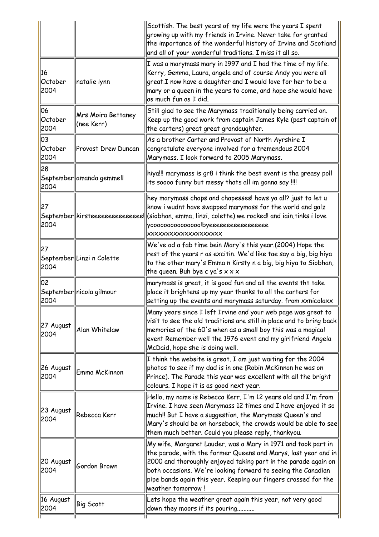| I was a marymass mary in 1997 and I had the time of my life.<br>Kerry, Gemma, Laura, angela and of course Andy you were all<br>16<br>great.I now have a daughter and I would love for her to be a<br>October<br>natalie lynn                                                                                                                                                                    |  |
|-------------------------------------------------------------------------------------------------------------------------------------------------------------------------------------------------------------------------------------------------------------------------------------------------------------------------------------------------------------------------------------------------|--|
| 2004<br>mary or a queen in the years to come, and hope she would have<br>as much fun as I did.                                                                                                                                                                                                                                                                                                  |  |
| 06<br>Still glad to see the Marymass traditionally being carried on.<br><b>Mrs Moira Bettaney</b><br>October<br>Keep up the good work from captain James Kyle (past captain of<br>(nee Kerr)<br>2004<br>the carters) great great grandaughter.                                                                                                                                                  |  |
| 03<br>As a brother Carter and Provost of North Ayrshire I<br>October<br>congratulate everyone involved for a tremendous 2004<br>Provost Drew Duncan<br>2004<br>Marymass. I look forward to 2005 Marymass.                                                                                                                                                                                       |  |
| 28<br>hiya!!! marymass is gr8 i think the best event is tha greasy poll<br>September amanda gemmell<br>its soooo funny but messy thats all im gonna say !!!!<br>2004                                                                                                                                                                                                                            |  |
| hey marymass chaps and chapesses! hows ya all? just to let u<br>27<br>know i wudnt have swapped marymass for the world and galz<br>$ \mathsf{September}  $ kirsteeeeeeeeeeeeee $ \mathsf{l} $ (siobhan, emma, linzi, colette) we rocked! and iain,tinks i love<br>2004<br>yooooooooooooooo!byeeeeeeeeeeeeeeeee<br>XXXXXXXXXXXXXXXXXXXX                                                          |  |
| We've ad a fab time bein Mary's this year.(2004) Hope the<br>27<br>rest of the years r as excitin. We'd like tae say a big, big hiya<br>September  Linzi n Colette<br>to the other mary's Emma n Kirsty n a big, big hiya to Siobhan,<br>2004<br>the queen. Buh bye c ya's $x \times x$                                                                                                         |  |
| 02<br>marymass is great, it is good fun and all the events tht take<br>place it brightens up my year thanks to all the carters for<br>September  nicola gilmour<br>setting up the events and marymass saturday. from xxnicolaxx<br>2004                                                                                                                                                         |  |
| Many years since I left Irvine and your web page was great to<br>visit to see the old traditions are still in place and to bring back<br>27 August<br>Alan Whitelaw<br>memories of the 60's when as a small boy this was a magical<br>2004<br>event Remember well the 1976 event and my girlfriend Angela<br>McDaid, hope she is doing well.                                                    |  |
| I think the website is great. I am just waiting for the 2004<br>photos to see if my dad is in one (Robin McKinnon he was on<br>26 August<br>Emma McKinnon<br>Prince). The Parade this year was excellent with all the bright<br>2004<br>colours. I hope it is as good next year.                                                                                                                |  |
| Hello, my name is Rebecca Kerr, I'm 12 years old and I'm from<br>Irvine. I have seen Marymass 12 times and I have enjoyed it so<br>23 August<br>much!! But I have a suggestion, the Marymass Queen's and<br>Rebecca Kerr<br>2004<br>Mary's should be on horseback, the crowds would be able to see<br>them much better. Could you please reply, thankyou.                                       |  |
| My wife, Margaret Lauder, was a Mary in 1971 and took part in<br>the parade, with the former Queens and Marys, last year and in<br>20 August<br>2000 and thoroughly enjoyed taking part in the parade again on<br>Gordon Brown<br>2004<br>both occasions. We're looking forward to seeing the Canadian<br>pipe bands again this year. Keeping our fingers crossed for the<br> weather tomorrow! |  |
| Lets hope the weather great again this year, not very good<br>16 August<br>Big Scott<br>2004<br>down they moors if its pouring                                                                                                                                                                                                                                                                  |  |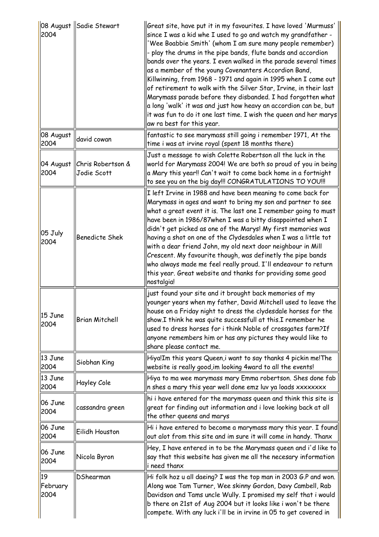| 2004                   | 08 August   Sadie Stewart        | Great site, have put it in my favourites. I have loved 'Murmuss'<br>since I was a kid whe I used to go and watch my grandfather -<br>'Wee Boabbie Smith' (whom I am sure many people remember)<br>- play the drums in the pipe bands, flute bands and accordion<br>bands over the years. I even walked in the parade several times<br>as a member of the young Covenanters Accordion Band,<br>Killwinning, from 1968 - 1971 and again in 1995 when I came out<br>of retirement to walk with the Silver Star, Irvine, in their last<br>Marymass parade before they disbanded. I had forgotten what<br>$ a $ long 'walk' it was and just how heavy an accordion can be, but<br>it was fun to do it one last time. I wish the queen and her marys<br>aw ra best for this year. |
|------------------------|----------------------------------|-----------------------------------------------------------------------------------------------------------------------------------------------------------------------------------------------------------------------------------------------------------------------------------------------------------------------------------------------------------------------------------------------------------------------------------------------------------------------------------------------------------------------------------------------------------------------------------------------------------------------------------------------------------------------------------------------------------------------------------------------------------------------------|
| 08 August<br>2004      | david cowan                      | fantastic to see marymass still going i remember 1971, At the<br>time i was at irvine royal (spent 18 months there)                                                                                                                                                                                                                                                                                                                                                                                                                                                                                                                                                                                                                                                         |
| 04 August<br>2004      | Chris Robertson &<br>Jodie Scott | Just a message to wish Colette Robertson all the luck in the<br>world for Marymass 2004! We are both so proud of you in being<br>a Mary this year!! Can't wait to come back home in a fortnight<br>to see you on the big day!!! CONGRATULATIONS TO YOU!!!                                                                                                                                                                                                                                                                                                                                                                                                                                                                                                                   |
| 05 July<br>2004        | <b>Benedicte Shek</b>            | I left Irvine in 1988 and have been meaning to come back for<br>Marymass in ages and want to bring my son and partner to see<br>what a great event it is. The last one I remember going to must<br>have been in 1986/87when I was a bitty disappointed when I<br>didn't get picked as one of the Marys! My first memories was<br>having a shot on one of the Clydesdales when I was a little tot<br>with a dear friend John, my old next door neighbour in Mill<br>Crescent. My favourite though, was definetly the pipe bands<br>who always made me feel really proud. I'll endeavour to return<br>this year. Great website and thanks for providing some good<br>nostalgia!                                                                                               |
| 15 June<br>2004        | <b>Brian Mitchell</b>            | just found your site and it brought back memories of my<br>younger years when my father, David Mitchell used to leave the<br>house on a Friday night to dress the clydesdale horses for the<br>show.I think he was quite successfull at this.I remember he<br>used to dress horses for i think Noble of crossgates farm?If<br>anyone remembers him or has any pictures they would like to $\,$<br>share please contact me.                                                                                                                                                                                                                                                                                                                                                  |
| 13 June<br>2004        | Siobhan King                     | Hiya!Im this years Queen,i want to say thanks 4 pickin me! The<br>website is really good, im looking 4ward to all the events!                                                                                                                                                                                                                                                                                                                                                                                                                                                                                                                                                                                                                                               |
| 13 June<br>2004        | <b>Hayley Cole</b>               | Hiya to ma wee marymass mary Emma robertson. Shes done fab<br>n shes a mary this year well done emz luv ya loads xxxxxxxx                                                                                                                                                                                                                                                                                                                                                                                                                                                                                                                                                                                                                                                   |
| 06 June<br>2004        | cassandra green                  | hi i have entered for the marymass queen and think this site is<br>great for finding out information and i love looking back at all<br>the other queens and marys                                                                                                                                                                                                                                                                                                                                                                                                                                                                                                                                                                                                           |
| 06 June<br>2004        | Eilidh Houston                   | Hi i have entered to become a marymass mary this year. I found<br>out alot from this site and im sure it will come in handy. Thanx                                                                                                                                                                                                                                                                                                                                                                                                                                                                                                                                                                                                                                          |
| 06 June<br>2004        | Nicola Byron                     | Hey, I have entered in to be the Marymass queen and i'd like to<br>say that this website has given me all the necesary information<br>i need thanx                                                                                                                                                                                                                                                                                                                                                                                                                                                                                                                                                                                                                          |
| 19<br>February<br>2004 | DShearman                        | Hi folk hoz u all daeing? I was the top man in 2003 G.P and won.<br>Along wae Tam Turner, Wee skinny Gordon, Davy Cambell, Rab<br>Davidson and Tams uncle Wully. I promised my self that i would<br>b there on 21st of Aug 2004 but it looks like i won't be there<br>compete. With any luck i'll be in irvine in 05 to get covered in                                                                                                                                                                                                                                                                                                                                                                                                                                      |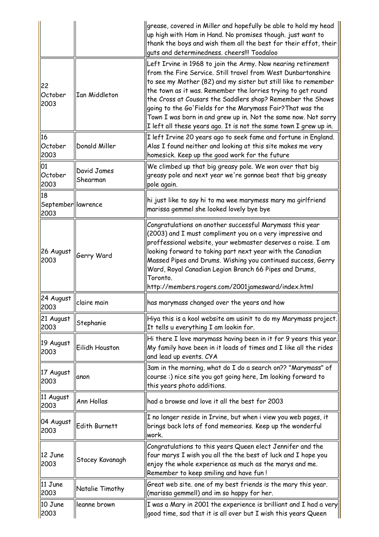|                                   |                         | grease, covered in Miller and hopefully be able to hold my head<br>up high with Ham in Hand. No promises though. just want to<br>thank the boys and wish them all the best for their effot, their<br>guts and determinedness. cheers!!! Toodaloo                                                                                                                                                                                                                                                                                 |
|-----------------------------------|-------------------------|----------------------------------------------------------------------------------------------------------------------------------------------------------------------------------------------------------------------------------------------------------------------------------------------------------------------------------------------------------------------------------------------------------------------------------------------------------------------------------------------------------------------------------|
| 22<br>October<br>2003             | <b>Ian Middleton</b>    | Left Irvine in 1968 to join the Army. Now nearing retirement<br>from the Fire Service. Still travel from West Dunbartonshire<br>to see my Mother (82) and my sister but still like to remember<br>the town as it was. Remember the lorries trying to get round<br>the Cross at Cousars the Saddlers shop? Remember the Shows<br>going to the Go'Fields for the Marymass Fair?That was the<br>Town I was born in and grew up in. Not the same now. Not sorry<br>I left all these years ago. It is not the same town I grew up in. |
| 16<br>October<br>2003             | Donald Miller           | I left Irvine 20 years ago to seek fame and fortune in England.<br>Alas I found neither and looking at this site makes me very<br>homesick. Keep up the good work for the future                                                                                                                                                                                                                                                                                                                                                 |
| 01<br>October<br>2003             | David James<br>Shearman | We climbed up that big greasy pole. We won over that big<br>greasy pole and next year we're gonnae beat that big greasy<br>pole again.                                                                                                                                                                                                                                                                                                                                                                                           |
| 18<br>September  lawrence<br>2003 |                         | hi just like to say hi to ma wee marymess mary ma girlfriend<br>marissa gemmel she looked lovely bye bye                                                                                                                                                                                                                                                                                                                                                                                                                         |
| 26 August<br>2003                 | Gerry Ward              | Congratulations on another successful Marymass this year<br>(2003) and I must compliment you on a very impressive and<br>proffessional website, your webmaster deserves a raise. I am<br>looking forward to taking part next year with the Canadian<br>Massed Pipes and Drums. Wishing you continued success, Gerry<br>Ward, Royal Canadian Legion Branch 66 Pipes and Drums,<br>Toronto.<br>http://members.rogers.com/2001jamesward/index.html                                                                                  |
| 24 August<br>2003                 | claire main             | has marymass changed over the years and how                                                                                                                                                                                                                                                                                                                                                                                                                                                                                      |
| 21 August<br>2003                 | Stephanie               | Hiya this is a kool website am usinit to do my Marymass project.<br>It tells u everything I am lookin for.                                                                                                                                                                                                                                                                                                                                                                                                                       |
| 19 August<br>2003                 | Eilidh Houston          | Hi there I love marymass having been in it for 9 years this year.<br>My family have been in it loads of times and I like all the rides<br>and lead up events. CYA                                                                                                                                                                                                                                                                                                                                                                |
| 17 August<br>2003                 | anon                    | 3am in the morning, what do I do a search on?? "Marymass" of<br>course:) nice site you got going here, Im looking forward to<br>this years photo additions.                                                                                                                                                                                                                                                                                                                                                                      |
| 11 August<br>2003                 | Ann Hollas              | had a browse and love it all the best for 2003                                                                                                                                                                                                                                                                                                                                                                                                                                                                                   |
| 04 August<br>2003                 | Edith Burnett           | I no longer reside in Irvine, but when i view you web pages, it<br>brings back lots of fond memeories. Keep up the wonderful<br>work.                                                                                                                                                                                                                                                                                                                                                                                            |
| 12 June<br>2003                   | Stacey Kavanagh         | Congratulations to this years Queen elect Jennifer and the<br>four marys I wish you all the the best of luck and I hope you<br>enjoy the whole experience as much as the marys and me.<br>Remember to keep smiling and have fun!                                                                                                                                                                                                                                                                                                 |
| 11 June<br>2003                   | Natalie Timothy         | Great web site. one of my best friends is the mary this year.<br>(marissa gemmell) and im so happy for her.                                                                                                                                                                                                                                                                                                                                                                                                                      |
| 10 June<br>2003                   | leanne brown            | I was a Mary in 2001 the experience is brilliant and I had a very<br>good time, sad that it is all over but I wish this years Queen                                                                                                                                                                                                                                                                                                                                                                                              |